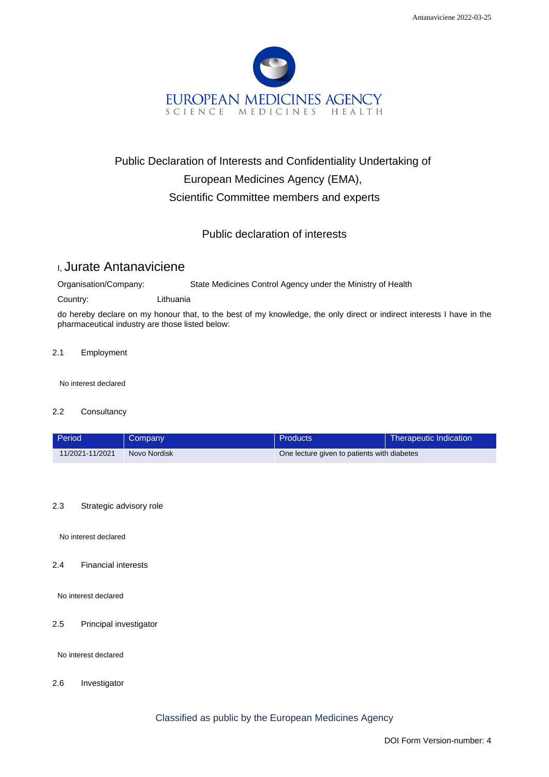

# Public Declaration of Interests and Confidentiality Undertaking of European Medicines Agency (EMA), Scientific Committee members and experts

## Public declaration of interests

## I, Jurate Antanaviciene

Organisation/Company: State Medicines Control Agency under the Ministry of Health

Country: Lithuania

do hereby declare on my honour that, to the best of my knowledge, the only direct or indirect interests I have in the pharmaceutical industry are those listed below:

#### 2.1 Employment

No interest declared

#### 2.2 Consultancy

| Period          | Company      | Products                                    | Therapeutic Indication |
|-----------------|--------------|---------------------------------------------|------------------------|
| 11/2021-11/2021 | Novo Nordisk | One lecture given to patients with diabetes |                        |

#### 2.3 Strategic advisory role

No interest declared

#### 2.4 Financial interests

No interest declared

#### 2.5 Principal investigator

No interest declared

2.6 Investigator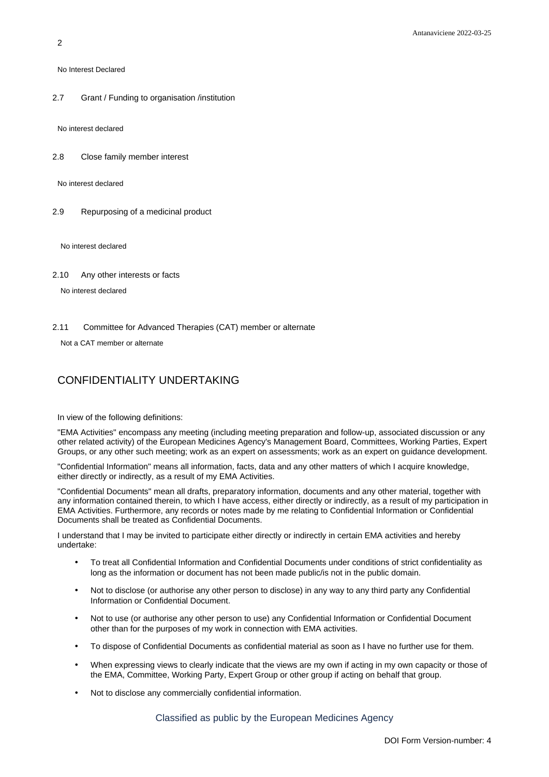No Interest Declared

2.7 Grant / Funding to organisation /institution

No interest declared

2.8 Close family member interest

No interest declared

2.9 Repurposing of a medicinal product

No interest declared

2.10 Any other interests or facts

No interest declared

2.11 Committee for Advanced Therapies (CAT) member or alternate

Not a CAT member or alternate

### CONFIDENTIALITY UNDERTAKING

In view of the following definitions:

"EMA Activities" encompass any meeting (including meeting preparation and follow-up, associated discussion or any other related activity) of the European Medicines Agency's Management Board, Committees, Working Parties, Expert Groups, or any other such meeting; work as an expert on assessments; work as an expert on guidance development.

"Confidential Information" means all information, facts, data and any other matters of which I acquire knowledge, either directly or indirectly, as a result of my EMA Activities.

"Confidential Documents" mean all drafts, preparatory information, documents and any other material, together with any information contained therein, to which I have access, either directly or indirectly, as a result of my participation in EMA Activities. Furthermore, any records or notes made by me relating to Confidential Information or Confidential Documents shall be treated as Confidential Documents.

I understand that I may be invited to participate either directly or indirectly in certain EMA activities and hereby undertake:

- To treat all Confidential Information and Confidential Documents under conditions of strict confidentiality as long as the information or document has not been made public/is not in the public domain.
- Not to disclose (or authorise any other person to disclose) in any way to any third party any Confidential Information or Confidential Document.
- Not to use (or authorise any other person to use) any Confidential Information or Confidential Document other than for the purposes of my work in connection with EMA activities.
- To dispose of Confidential Documents as confidential material as soon as I have no further use for them.
- When expressing views to clearly indicate that the views are my own if acting in my own capacity or those of the EMA, Committee, Working Party, Expert Group or other group if acting on behalf that group.
- Not to disclose any commercially confidential information.

Classified as public by the European Medicines Agency